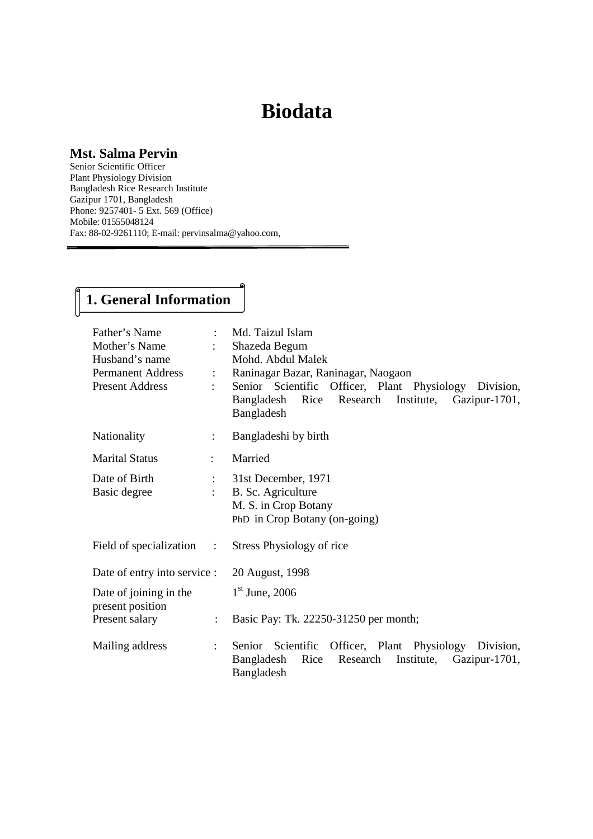# **Biodata**

#### **Mst. Salma Pervin**

Senior Scientific Officer Plant Physiology Division Bangladesh Rice Research Institute Gazipur 1701, Bangladesh Phone: 9257401- 5 Ext. 569 (Office) Mobile: 01555048124 Fax: 88-02-9261110; E-mail: pervinsalma@yahoo.com,

# **1. General Information**

| Father's Name<br>Mother's Name<br>Husband's name<br><b>Permanent Address</b><br><b>Present Address</b> | $\mathbb{R}^{\mathbb{Z}}$ | Md. Taizul Islam<br>Shazeda Begum<br>Mohd. Abdul Malek<br>Raninagar Bazar, Raninagar, Naogaon<br>Senior Scientific Officer, Plant Physiology Division,<br>Bangladesh Rice Research Institute, Gazipur-1701,<br>Bangladesh |  |  |  |
|--------------------------------------------------------------------------------------------------------|---------------------------|---------------------------------------------------------------------------------------------------------------------------------------------------------------------------------------------------------------------------|--|--|--|
| Nationality                                                                                            | $\ddot{\phantom{0}}$      | Bangladeshi by birth                                                                                                                                                                                                      |  |  |  |
| <b>Marital Status</b>                                                                                  |                           | Married                                                                                                                                                                                                                   |  |  |  |
| Date of Birth<br>Basic degree                                                                          | $\mathbb{R}^{\mathbb{Z}}$ | 31st December, 1971<br>B. Sc. Agriculture<br>M. S. in Crop Botany<br>PhD in Crop Botany (on-going)                                                                                                                        |  |  |  |
| Field of specialization                                                                                | $\sim$ 1.                 | Stress Physiology of rice                                                                                                                                                                                                 |  |  |  |
| Date of entry into service :                                                                           |                           | 20 August, 1998                                                                                                                                                                                                           |  |  |  |
| Date of joining in the<br>present position                                                             |                           | $1st$ June, 2006                                                                                                                                                                                                          |  |  |  |
| Present salary                                                                                         |                           | Basic Pay: Tk. 22250-31250 per month;                                                                                                                                                                                     |  |  |  |
| Mailing address                                                                                        |                           | Senior Scientific Officer, Plant Physiology Division,<br>Gazipur-1701,<br>Bangladesh<br>Rice<br>Research<br>Institute,<br>Bangladesh                                                                                      |  |  |  |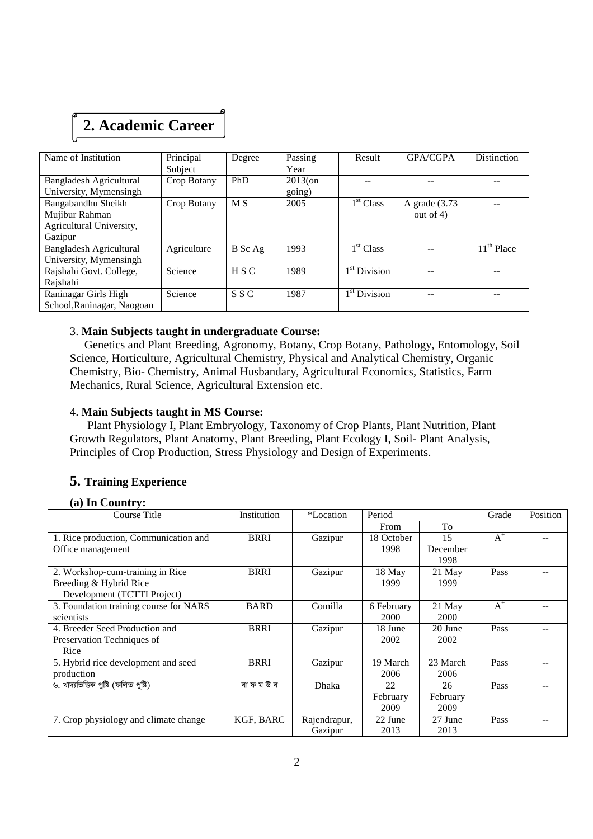# **2. Academic Career**

| Name of Institution        | Principal   | Degree         | Passing    | Result                   | <b>GPA/CGPA</b>  | Distinction  |
|----------------------------|-------------|----------------|------------|--------------------------|------------------|--------------|
|                            | Subject     |                | Year       |                          |                  |              |
| Bangladesh Agricultural    | Crop Botany | PhD            | $2013$ (on |                          |                  |              |
| University, Mymensingh     |             |                | going)     |                          |                  |              |
| Bangabandhu Sheikh         | Crop Botany | M <sub>S</sub> | 2005       | 1 <sup>st</sup> Class    | A grade $(3.73)$ |              |
| Mujibur Rahman             |             |                |            |                          | out of $4$ )     |              |
| Agricultural University,   |             |                |            |                          |                  |              |
| Gazipur                    |             |                |            |                          |                  |              |
| Bangladesh Agricultural    | Agriculture | B Sc Ag        | 1993       | 1 <sup>st</sup> Class    |                  | $11th$ Place |
| University, Mymensingh     |             |                |            |                          |                  |              |
| Rajshahi Govt. College,    | Science     | H S C          | 1989       | 1 <sup>st</sup> Division |                  |              |
| Rajshahi                   |             |                |            |                          |                  |              |
| Raninagar Girls High       | Science     | S S C          | 1987       | 1 <sup>st</sup> Division |                  |              |
| School, Raninagar, Naogoan |             |                |            |                          |                  |              |

#### 3. **Main Subjects taught in undergraduate Course:**

 Genetics and Plant Breeding, Agronomy, Botany, Crop Botany, Pathology, Entomology, Soil Science, Horticulture, Agricultural Chemistry, Physical and Analytical Chemistry, Organic Chemistry, Bio- Chemistry, Animal Husbandary, Agricultural Economics, Statistics, Farm Mechanics, Rural Science, Agricultural Extension etc.

#### 4. **Main Subjects taught in MS Course:**

 Plant Physiology I, Plant Embryology, Taxonomy of Crop Plants, Plant Nutrition, Plant Growth Regulators, Plant Anatomy, Plant Breeding, Plant Ecology I, Soil- Plant Analysis, Principles of Crop Production, Stress Physiology and Design of Experiments.

#### **5. Training Experience**

#### **(a) In Country:**

| Course Title                           | Institution | *Location    | Period     |          | Grade | Position |
|----------------------------------------|-------------|--------------|------------|----------|-------|----------|
|                                        |             |              | From       | To       |       |          |
| 1. Rice production, Communication and  | BRRI        | Gazipur      | 18 October | 15       | $A^+$ |          |
| Office management                      |             |              | 1998       | December |       |          |
|                                        |             |              |            | 1998     |       |          |
| 2. Workshop-cum-training in Rice       | <b>BRRI</b> | Gazipur      | 18 May     | 21 May   | Pass  |          |
| Breeding & Hybrid Rice                 |             |              | 1999       | 1999     |       |          |
| Development (TCTTI Project)            |             |              |            |          |       |          |
| 3. Foundation training course for NARS | <b>BARD</b> | Comilla      | 6 February | 21 May   | $A^+$ |          |
| scientists                             |             |              | 2000       | 2000     |       |          |
| 4. Breeder Seed Production and         | <b>BRRI</b> | Gazipur      | 18 June    | 20 June  | Pass  |          |
| Preservation Techniques of             |             |              | 2002       | 2002     |       |          |
| Rice                                   |             |              |            |          |       |          |
| 5. Hybrid rice development and seed    | <b>BRRI</b> | Gazipur      | 19 March   | 23 March | Pass  |          |
| production                             |             |              | 2006       | 2006     |       |          |
| ৬. খাদ্যভিত্তিক পুষ্টি (ফলিত পুষ্টি)   | বা ফ ম উ ব  | Dhaka        | 22         | 26       | Pass  |          |
|                                        |             |              | February   | February |       |          |
|                                        |             |              | 2009       | 2009     |       |          |
| 7. Crop physiology and climate change  | KGF, BARC   | Rajendrapur, | 22 June    | 27 June  | Pass  |          |
|                                        |             | Gazipur      | 2013       | 2013     |       |          |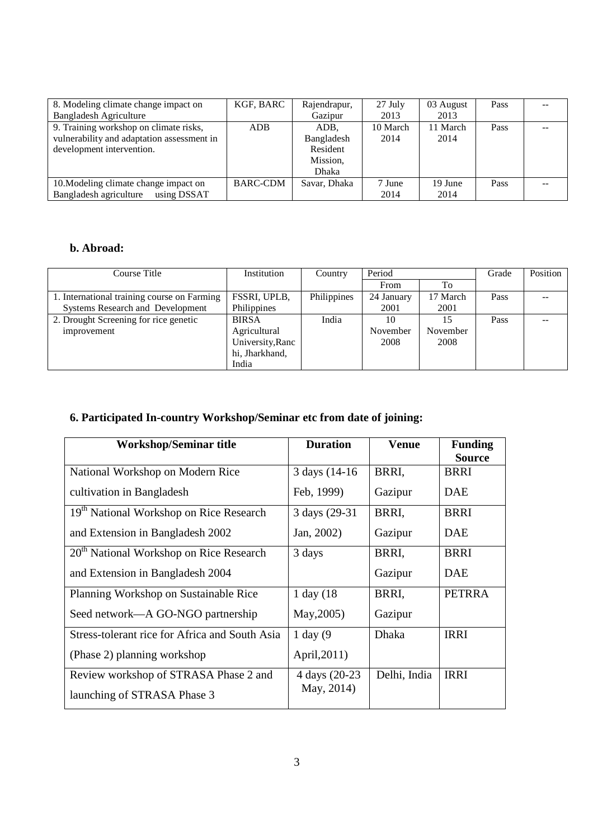| 8. Modeling climate change impact on       | KGF, BARC       | Rajendrapur, | 27 July  | 03 August | Pass |  |
|--------------------------------------------|-----------------|--------------|----------|-----------|------|--|
| <b>Bangladesh Agriculture</b>              |                 | Gazipur      | 2013     | 2013      |      |  |
| 9. Training workshop on climate risks,     | <b>ADB</b>      | ADB.         | 10 March | 11 March  | Pass |  |
| vulnerability and adaptation assessment in |                 | Bangladesh   | 2014     | 2014      |      |  |
| development intervention.                  |                 | Resident     |          |           |      |  |
|                                            |                 | Mission,     |          |           |      |  |
|                                            |                 | Dhaka        |          |           |      |  |
| 10. Modeling climate change impact on      | <b>BARC-CDM</b> | Savar, Dhaka | 7 June   | 19 June   | Pass |  |
| Bangladesh agriculture<br>using DSSAT      |                 |              | 2014     | 2014      |      |  |

### **b. Abroad:**

| Course Title                                | Institution      | Country     | Period     |          | Grade | Position |
|---------------------------------------------|------------------|-------------|------------|----------|-------|----------|
|                                             |                  |             | From       | To       |       |          |
| 1. International training course on Farming | FSSRI, UPLB,     | Philippines | 24 January | 17 March | Pass  |          |
| Systems Research and Development            | Philippines      |             | 2001       | 2001     |       |          |
| 2. Drought Screening for rice genetic       | <b>BIRSA</b>     | India       | 10         | 15       | Pass  |          |
| improvement                                 | Agricultural     |             | November   | November |       |          |
|                                             | University, Ranc |             | 2008       | 2008     |       |          |
|                                             | hi, Jharkhand,   |             |            |          |       |          |
|                                             | India            |             |            |          |       |          |

## **6. Participated In-country Workshop/Seminar etc from date of joining:**

| <b>Workshop/Seminar title</b>                       | <b>Duration</b> | <b>Venue</b> | <b>Funding</b> |
|-----------------------------------------------------|-----------------|--------------|----------------|
|                                                     |                 |              | <b>Source</b>  |
| National Workshop on Modern Rice                    | 3 days (14-16)  | BRRI,        | <b>BRRI</b>    |
| cultivation in Bangladesh                           | Feb, 1999)      | Gazipur      | <b>DAE</b>     |
| 19 <sup>th</sup> National Workshop on Rice Research | 3 days (29-31)  | BRRI,        | <b>BRRI</b>    |
| and Extension in Bangladesh 2002                    | Jan, 2002)      | Gazipur      | <b>DAE</b>     |
| $20th$ National Workshop on Rice Research           | 3 days          | BRRI,        | <b>BRRI</b>    |
| and Extension in Bangladesh 2004                    |                 | Gazipur      | <b>DAE</b>     |
| Planning Workshop on Sustainable Rice               | $1$ day $(18)$  | BRRI,        | <b>PETRRA</b>  |
| Seed network—A GO-NGO partnership                   | May, 2005)      | Gazipur      |                |
| Stress-tolerant rice for Africa and South Asia      | $1$ day $(9)$   | <b>Dhaka</b> | <b>IRRI</b>    |
| (Phase 2) planning workshop                         | April, 2011)    |              |                |
| Review workshop of STRASA Phase 2 and               | 4 days (20-23)  | Delhi, India | <b>IRRI</b>    |
| launching of STRASA Phase 3                         | May, 2014)      |              |                |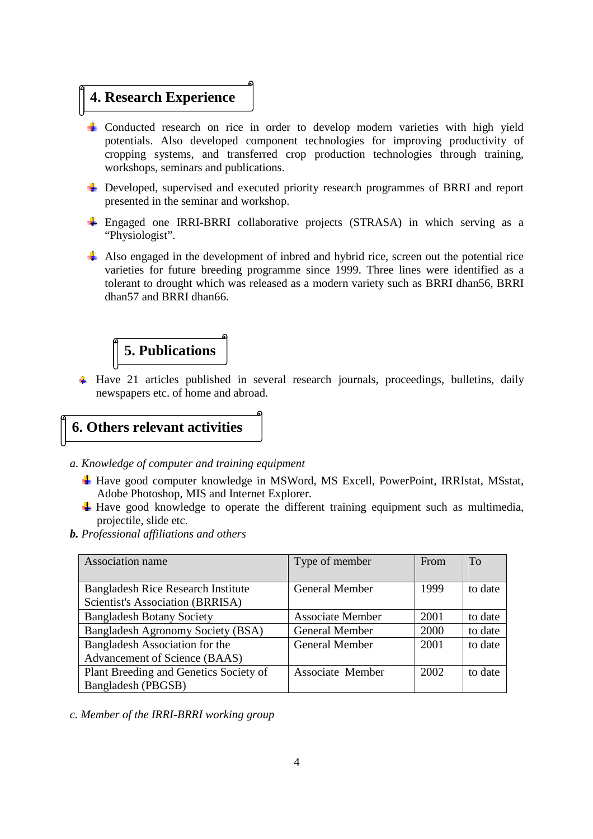## **4. Research Experience**

- ↓ Conducted research on rice in order to develop modern varieties with high yield potentials. Also developed component technologies for improving productivity of cropping systems, and transferred crop production technologies through training, workshops, seminars and publications.
- $\overline{\text{L}}$  Developed, supervised and executed priority research programmes of BRRI and report presented in the seminar and workshop.
- $\pm$  Engaged one IRRI-BRRI collaborative projects (STRASA) in which serving as a "Physiologist".
- $\overline{\phantom{a}}$  Also engaged in the development of inbred and hybrid rice, screen out the potential rice varieties for future breeding programme since 1999. Three lines were identified as a tolerant to drought which was released as a modern variety such as BRRI dhan56, BRRI dhan57 and BRRI dhan66.



 $\pm$  Have 21 articles published in several research journals, proceedings, bulletins, daily newspapers etc. of home and abroad.

### **6. Others relevant activities**

- *a. Knowledge of computer and training equipment* 
	- Have good computer knowledge in MSWord, MS Excell, PowerPoint, IRRIstat, MSstat, Adobe Photoshop, MIS and Internet Explorer.
	- $\downarrow$  Have good knowledge to operate the different training equipment such as multimedia, projectile, slide etc.
- *b. Professional affiliations and others*

| Association name                          | Type of member          | From | To      |
|-------------------------------------------|-------------------------|------|---------|
|                                           |                         |      |         |
| <b>Bangladesh Rice Research Institute</b> | <b>General Member</b>   | 1999 | to date |
| Scientist's Association (BRRISA)          |                         |      |         |
| <b>Bangladesh Botany Society</b>          | <b>Associate Member</b> | 2001 | to date |
| Bangladesh Agronomy Society (BSA)         | <b>General Member</b>   | 2000 | to date |
| Bangladesh Association for the            | <b>General Member</b>   | 2001 | to date |
| Advancement of Science (BAAS)             |                         |      |         |
| Plant Breeding and Genetics Society of    | Associate Member        | 2002 | to date |
| Bangladesh (PBGSB)                        |                         |      |         |

*c. Member of the IRRI-BRRI working group*